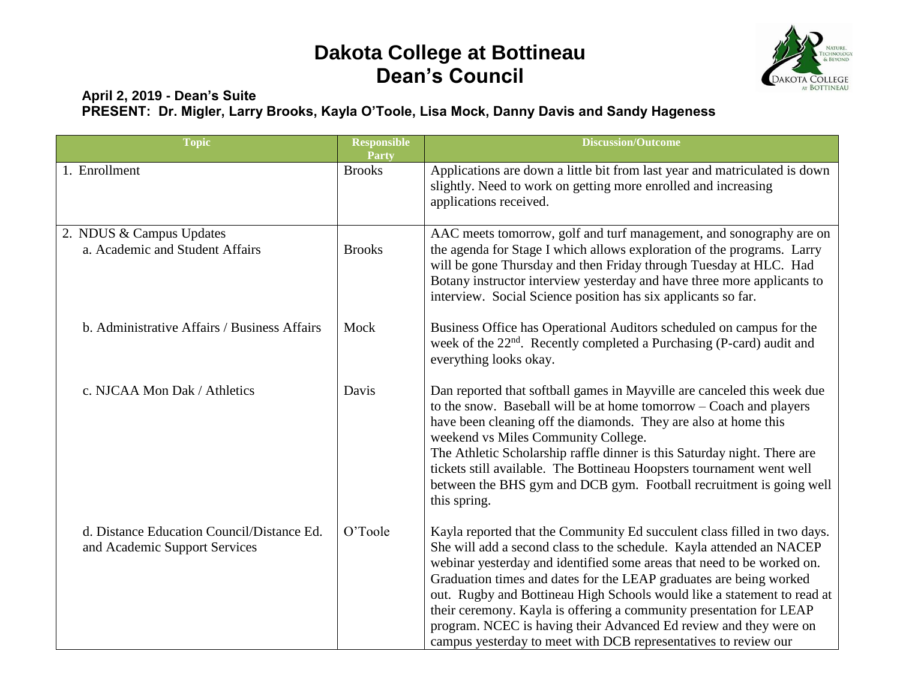## **Dakota College at Bottineau Dean's Council**



## **April 2, 2019 - Dean's Suite PRESENT: Dr. Migler, Larry Brooks, Kayla O'Toole, Lisa Mock, Danny Davis and Sandy Hageness**

| <b>Topic</b>                                                                | <b>Responsible</b><br>Party | <b>Discussion/Outcome</b>                                                                                                                                                                                                                                                                                                                                                                                                                                                                                                                                                                  |
|-----------------------------------------------------------------------------|-----------------------------|--------------------------------------------------------------------------------------------------------------------------------------------------------------------------------------------------------------------------------------------------------------------------------------------------------------------------------------------------------------------------------------------------------------------------------------------------------------------------------------------------------------------------------------------------------------------------------------------|
| 1. Enrollment                                                               | <b>Brooks</b>               | Applications are down a little bit from last year and matriculated is down<br>slightly. Need to work on getting more enrolled and increasing<br>applications received.                                                                                                                                                                                                                                                                                                                                                                                                                     |
| 2. NDUS & Campus Updates<br>a. Academic and Student Affairs                 | <b>Brooks</b>               | AAC meets tomorrow, golf and turf management, and sonography are on<br>the agenda for Stage I which allows exploration of the programs. Larry<br>will be gone Thursday and then Friday through Tuesday at HLC. Had<br>Botany instructor interview yesterday and have three more applicants to<br>interview. Social Science position has six applicants so far.                                                                                                                                                                                                                             |
| b. Administrative Affairs / Business Affairs                                | Mock                        | Business Office has Operational Auditors scheduled on campus for the<br>week of the 22 <sup>nd</sup> . Recently completed a Purchasing (P-card) audit and<br>everything looks okay.                                                                                                                                                                                                                                                                                                                                                                                                        |
| c. NJCAA Mon Dak / Athletics                                                | Davis                       | Dan reported that softball games in Mayville are canceled this week due<br>to the snow. Baseball will be at home tomorrow – Coach and players<br>have been cleaning off the diamonds. They are also at home this<br>weekend vs Miles Community College.<br>The Athletic Scholarship raffle dinner is this Saturday night. There are<br>tickets still available. The Bottineau Hoopsters tournament went well<br>between the BHS gym and DCB gym. Football recruitment is going well<br>this spring.                                                                                        |
| d. Distance Education Council/Distance Ed.<br>and Academic Support Services | O'Toole                     | Kayla reported that the Community Ed succulent class filled in two days.<br>She will add a second class to the schedule. Kayla attended an NACEP<br>webinar yesterday and identified some areas that need to be worked on.<br>Graduation times and dates for the LEAP graduates are being worked<br>out. Rugby and Bottineau High Schools would like a statement to read at<br>their ceremony. Kayla is offering a community presentation for LEAP<br>program. NCEC is having their Advanced Ed review and they were on<br>campus yesterday to meet with DCB representatives to review our |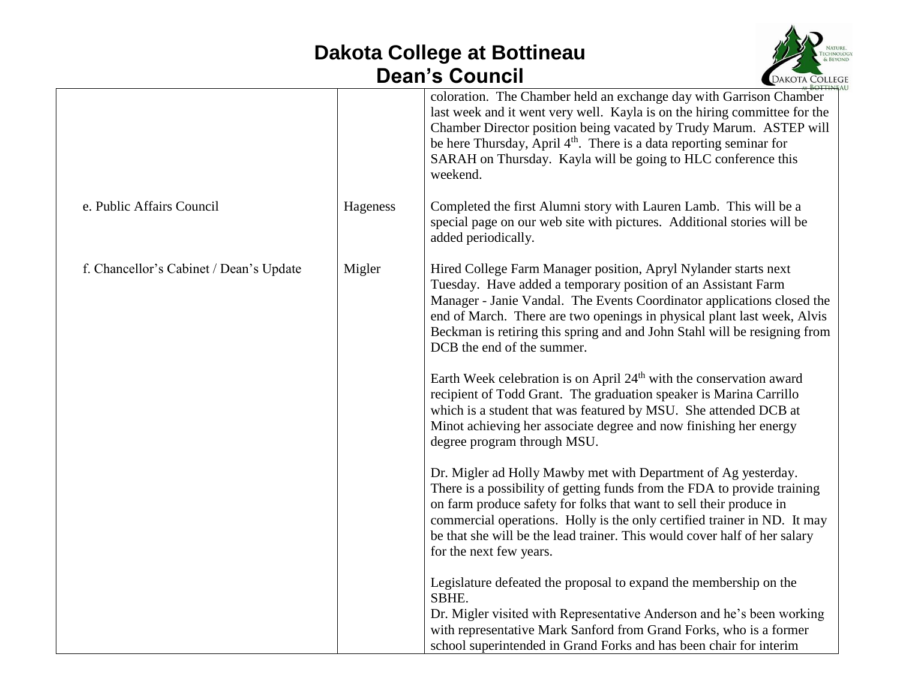## **Dakota College at Bottineau Dean's Council**



|                                         |          | <b>EDANOIA</b> COLLEG                                                                                                                                                                                                                                                                                                                                                                                 |
|-----------------------------------------|----------|-------------------------------------------------------------------------------------------------------------------------------------------------------------------------------------------------------------------------------------------------------------------------------------------------------------------------------------------------------------------------------------------------------|
|                                         |          | coloration. The Chamber held an exchange day with Garrison Chamber<br>last week and it went very well. Kayla is on the hiring committee for the<br>Chamber Director position being vacated by Trudy Marum. ASTEP will<br>be here Thursday, April 4 <sup>th</sup> . There is a data reporting seminar for<br>SARAH on Thursday. Kayla will be going to HLC conference this<br>weekend.                 |
| e. Public Affairs Council               | Hageness | Completed the first Alumni story with Lauren Lamb. This will be a<br>special page on our web site with pictures. Additional stories will be<br>added periodically.                                                                                                                                                                                                                                    |
| f. Chancellor's Cabinet / Dean's Update | Migler   | Hired College Farm Manager position, Apryl Nylander starts next<br>Tuesday. Have added a temporary position of an Assistant Farm<br>Manager - Janie Vandal. The Events Coordinator applications closed the<br>end of March. There are two openings in physical plant last week, Alvis<br>Beckman is retiring this spring and and John Stahl will be resigning from<br>DCB the end of the summer.      |
|                                         |          | Earth Week celebration is on April 24 <sup>th</sup> with the conservation award<br>recipient of Todd Grant. The graduation speaker is Marina Carrillo<br>which is a student that was featured by MSU. She attended DCB at<br>Minot achieving her associate degree and now finishing her energy<br>degree program through MSU.                                                                         |
|                                         |          | Dr. Migler ad Holly Mawby met with Department of Ag yesterday.<br>There is a possibility of getting funds from the FDA to provide training<br>on farm produce safety for folks that want to sell their produce in<br>commercial operations. Holly is the only certified trainer in ND. It may<br>be that she will be the lead trainer. This would cover half of her salary<br>for the next few years. |
|                                         |          | Legislature defeated the proposal to expand the membership on the<br>SBHE.<br>Dr. Migler visited with Representative Anderson and he's been working<br>with representative Mark Sanford from Grand Forks, who is a former<br>school superintended in Grand Forks and has been chair for interim                                                                                                       |